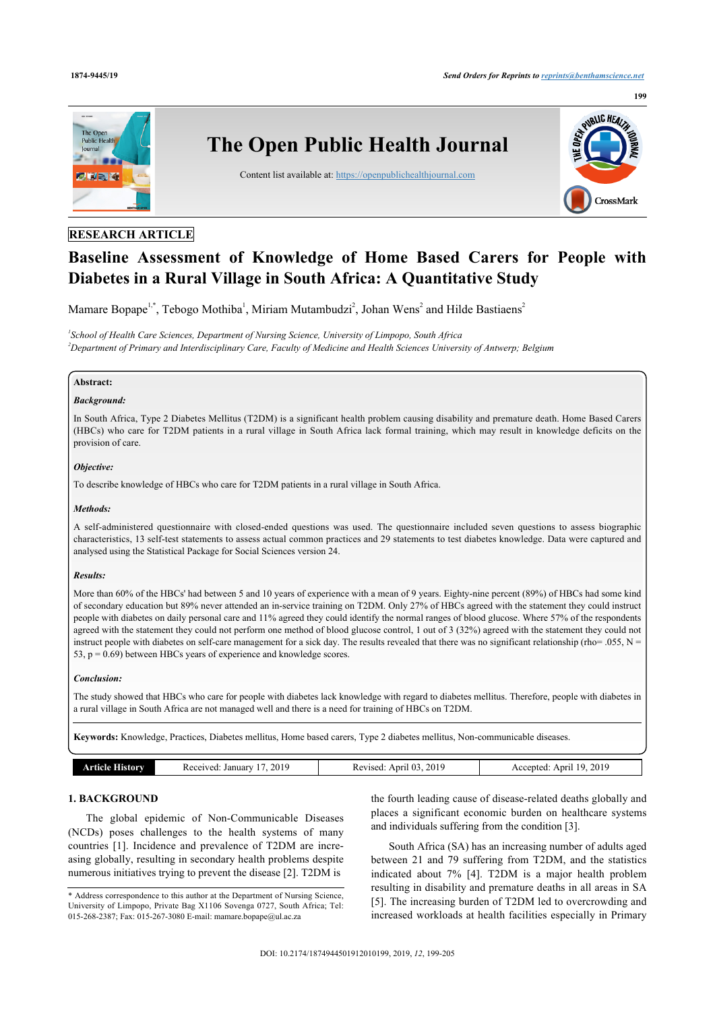

# **RESEARCH ARTICLE**

# **Baseline Assessment of Knowledge of Home Based Carers for People with Diabetes in a Rural Village in South Africa: A Quantitative Study**

Mamare Bopape<sup>[1](#page-0-0)[,\\*](#page-0-1)</sup>, Tebogo Mothiba<sup>1</sup>, Miriam Mutambudzi<sup>[2](#page-0-2)</sup>, Johan Wens<sup>2</sup> and Hilde Bastiaens<sup>2</sup>

<span id="page-0-2"></span><span id="page-0-0"></span>*1 School of Health Care Sciences, Department of Nursing Science, University of Limpopo, South Africa <sup>2</sup>Department of Primary and Interdisciplinary Care, Faculty of Medicine and Health Sciences University of Antwerp; Belgium*

# **Abstract:**

# *Background:*

In South Africa, Type 2 Diabetes Mellitus (T2DM) is a significant health problem causing disability and premature death. Home Based Carers (HBCs) who care for T2DM patients in a rural village in South Africa lack formal training, which may result in knowledge deficits on the provision of care.

#### *Objective:*

To describe knowledge of HBCs who care for T2DM patients in a rural village in South Africa.

#### *Methods:*

A self-administered questionnaire with closed-ended questions was used. The questionnaire included seven questions to assess biographic characteristics, 13 self-test statements to assess actual common practices and 29 statements to test diabetes knowledge. Data were captured and analysed using the Statistical Package for Social Sciences version 24.

#### *Results:*

More than 60% of the HBCs' had between 5 and 10 years of experience with a mean of 9 years. Eighty-nine percent (89%) of HBCs had some kind of secondary education but 89% never attended an in-service training on T2DM. Only 27% of HBCs agreed with the statement they could instruct people with diabetes on daily personal care and 11% agreed they could identify the normal ranges of blood glucose. Where 57% of the respondents agreed with the statement they could not perform one method of blood glucose control, 1 out of 3 (32%) agreed with the statement they could not instruct people with diabetes on self-care management for a sick day. The results revealed that there was no significant relationship (rho= .055,  $N =$ 53,  $p = 0.69$ ) between HBCs years of experience and knowledge scores.

#### *Conclusion:*

The study showed that HBCs who care for people with diabetes lack knowledge with regard to diabetes mellitus. Therefore, people with diabetes in a rural village in South Africa are not managed well and there is a need for training of HBCs on T2DM.

**Keywords:** Knowledge, Practices, Diabetes mellitus, Home based carers, Type 2 diabetes mellitus, Non-communicable diseases.

| 2019<br>2019<br>2019<br>$\sim$<br>u<br><b>Received</b><br>Januar<br>Revised<br>Anril<br>Anr'<br>cented<br>. .<br>listorv<br>AC.<br>nuu.<br>$   -$<br>---<br>__ |
|----------------------------------------------------------------------------------------------------------------------------------------------------------------|
|----------------------------------------------------------------------------------------------------------------------------------------------------------------|

# **1. BACKGROUND**

The global epidemic of Non-Communicable Diseases (NCDs) poses challenges to the health systems of many countries [\[1\]](#page-5-0). Incidence and prevalence of T2DM are increasing globally, resulting in secondary health problems despite numerous initiatives trying to prevent the disease [[2](#page-5-1)]. T2DM is

the fourth leading cause of disease-related deaths globally and places a significant economic burden on healthcare systems and individuals suffering from the condition [\[3\]](#page-5-2).

South Africa (SA) has an increasing number of adults aged between 21 and 79 suffering from T2DM, and the statistics indicated about 7%[[4\]](#page-5-3). T2DM is a major health problem resulting in disability and premature deaths in all areas in SA [[5\]](#page-5-4). The increasing burden of T2DM led to overcrowding and increased workloads at health facilities especially in Primary

<span id="page-0-1"></span><sup>\*</sup> Address correspondence to this author at the Department of Nursing Science, University of Limpopo, Private Bag X1106 Sovenga 0727, South Africa; Tel: 015-268-2387; Fax: 015-267-3080 E-mail: [mamare.bopape@ul.ac.za](mailto:mamare.bopape@ul.ac.za)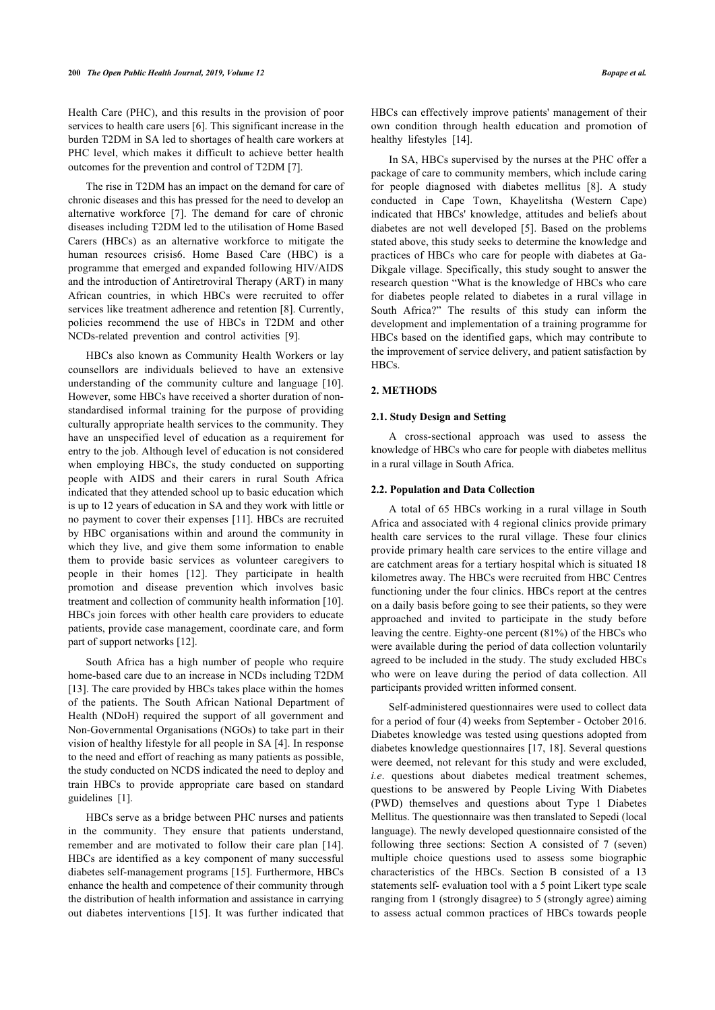Health Care (PHC), and this results in the provision of poor services to health care users [\[6\]](#page-5-5). This significant increase in the burden T2DM in SA led to shortages of health care workers at PHC level, which makes it difficult to achieve better health outcomes for the prevention and control of T2DM [[7](#page-5-6)].

The rise in T2DM has an impact on the demand for care of chronic diseases and this has pressed for the need to develop an alternative workforce [\[7](#page-5-6)]. The demand for care of chronic diseases including T2DM led to the utilisation of Home Based Carers (HBCs) as an alternative workforce to mitigate the human resources crisis6. Home Based Care (HBC) is a programme that emerged and expanded following HIV/AIDS and the introduction of Antiretroviral Therapy (ART) in many African countries, in which HBCs were recruited to offer services like treatment adherence and retention [\[8\]](#page-5-7). Currently, policies recommend the use of HBCs in T2DM and other NCDs-related prevention and control activities [\[9\]](#page-5-8).

HBCs also known as Community Health Workers or lay counsellors are individuals believed to have an extensive understanding of the community culture and language[[10\]](#page-5-9). However, some HBCs have received a shorter duration of nonstandardised informal training for the purpose of providing culturally appropriate health services to the community. They have an unspecified level of education as a requirement for entry to the job. Although level of education is not considered when employing HBCs, the study conducted on supporting people with AIDS and their carers in rural South Africa indicated that they attended school up to basic education which is up to 12 years of education in SA and they work with little or no payment to cover their expenses [\[11\]](#page-5-10). HBCs are recruited by HBC organisations within and around the community in which they live, and give them some information to enable them to provide basic services as volunteer caregivers to people in their homes [\[12](#page-5-11)]. They participate in health promotion and disease prevention which involves basic treatment and collection of community health information [[10](#page-5-9)]. HBCs join forces with other health care providers to educate patients, provide case management, coordinate care, and form part of support networks [\[12](#page-5-11)].

South Africa has a high number of people who require home-based care due to an increase in NCDs including T2DM [[13\]](#page-5-12). The care provided by HBCs takes place within the homes of the patients. The South African National Department of Health (NDoH) required the support of all government and Non-Governmental Organisations (NGOs) to take part in their vision of healthy lifestyle for all people in SA [[4](#page-5-3)]. In response to the need and effort of reaching as many patients as possible, the study conducted on NCDS indicated the need to deploy and train HBCs to provide appropriate care based on standard guidelines[[1](#page-5-0)].

HBCs serve as a bridge between PHC nurses and patients in the community. They ensure that patients understand, remember and are motivated to follow their care plan[[14\]](#page-5-13). HBCs are identified as a key component of many successful diabetes self-management programs [[15](#page-5-14)]. Furthermore, HBCs enhance the health and competence of their community through the distribution of health information and assistance in carrying out diabetes interventions[[15](#page-5-14)]. It was further indicated that HBCs can effectively improve patients' management of their own condition through health education and promotion of healthy lifestyles [\[14](#page-5-13)].

In SA, HBCs supervised by the nurses at the PHC offer a package of care to community members, which include caring for people diagnosed with diabetes mellitus[[8](#page-5-7)]. A study conducted in Cape Town, Khayelitsha (Western Cape) indicated that HBCs' knowledge, attitudes and beliefs about diabetes are not well developed[[5\]](#page-5-4). Based on the problems stated above, this study seeks to determine the knowledge and practices of HBCs who care for people with diabetes at Ga-Dikgale village. Specifically, this study sought to answer the research question "What is the knowledge of HBCs who care for diabetes people related to diabetes in a rural village in South Africa?" The results of this study can inform the development and implementation of a training programme for HBCs based on the identified gaps, which may contribute to the improvement of service delivery, and patient satisfaction by HBCs.

#### **2. METHODS**

#### **2.1. Study Design and Setting**

A cross-sectional approach was used to assess the knowledge of HBCs who care for people with diabetes mellitus in a rural village in South Africa.

#### **2.2. Population and Data Collection**

A total of 65 HBCs working in a rural village in South Africa and associated with 4 regional clinics provide primary health care services to the rural village. These four clinics provide primary health care services to the entire village and are catchment areas for a tertiary hospital which is situated 18 kilometres away. The HBCs were recruited from HBC Centres functioning under the four clinics. HBCs report at the centres on a daily basis before going to see their patients, so they were approached and invited to participate in the study before leaving the centre. Eighty-one percent (81%) of the HBCs who were available during the period of data collection voluntarily agreed to be included in the study. The study excluded HBCs who were on leave during the period of data collection. All participants provided written informed consent.

Self-administered questionnaires were used to collect data for a period of four (4) weeks from September - October 2016. Diabetes knowledge was tested using questions adopted from diabetes knowledge questionnaires [[17,](#page-6-0) [18](#page-6-1)]. Several questions were deemed, not relevant for this study and were excluded, *i.e*. questions about diabetes medical treatment schemes, questions to be answered by People Living With Diabetes (PWD) themselves and questions about Type 1 Diabetes Mellitus. The questionnaire was then translated to Sepedi (local language). The newly developed questionnaire consisted of the following three sections: Section A consisted of 7 (seven) multiple choice questions used to assess some biographic characteristics of the HBCs. Section B consisted of a 13 statements self- evaluation tool with a 5 point Likert type scale ranging from 1 (strongly disagree) to 5 (strongly agree) aiming to assess actual common practices of HBCs towards people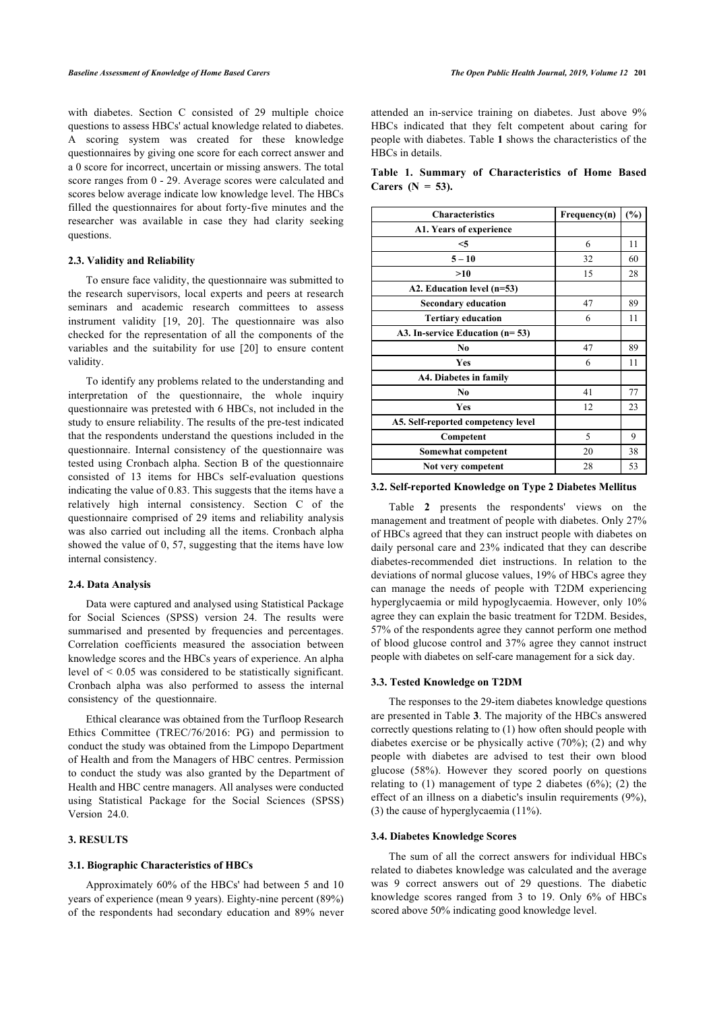<span id="page-2-0"></span>with diabetes. Section C consisted of 29 multiple choice questions to assess HBCs' actual knowledge related to diabetes. A scoring system was created for these knowledge questionnaires by giving one score for each correct answer and a 0 score for incorrect, uncertain or missing answers. The total score ranges from 0 - 29. Average scores were calculated and scores below average indicate low knowledge level. The HBCs filled the questionnaires for about forty-five minutes and the researcher was available in case they had clarity seeking questions.

## **2.3. Validity and Reliability**

To ensure face validity, the questionnaire was submitted to the research supervisors, local experts and peers at research seminars and academic research committees to assess instrument validity[[19](#page-6-2), [20](#page-6-3)]. The questionnaire was also checked for the representation of all the components of the variables and the suitability for use[[20](#page-6-3)] to ensure content validity.

To identify any problems related to the understanding and interpretation of the questionnaire, the whole inquiry questionnaire was pretested with 6 HBCs, not included in the study to ensure reliability. The results of the pre-test indicated that the respondents understand the questions included in the questionnaire. Internal consistency of the questionnaire was tested using Cronbach alpha. Section B of the questionnaire consisted of 13 items for HBCs self-evaluation questions indicating the value of 0.83. This suggests that the items have a relatively high internal consistency. Section C of the questionnaire comprised of 29 items and reliability analysis was also carried out including all the items. Cronbach alpha showed the value of 0, 57, suggesting that the items have low internal consistency.

#### **2.4. Data Analysis**

Data were captured and analysed using Statistical Package for Social Sciences (SPSS) version 24. The results were summarised and presented by frequencies and percentages. Correlation coefficients measured the association between knowledge scores and the HBCs years of experience. An alpha level of < 0.05 was considered to be statistically significant. Cronbach alpha was also performed to assess the internal consistency of the questionnaire.

Ethical clearance was obtained from the Turfloop Research Ethics Committee (TREC/76/2016: PG) and permission to conduct the study was obtained from the Limpopo Department of Health and from the Managers of HBC centres. Permission to conduct the study was also granted by the Department of Health and HBC centre managers. All analyses were conducted using Statistical Package for the Social Sciences (SPSS) Version 24.0.

# **3. RESULTS**

#### **3.1. Biographic Characteristics of HBCs**

Approximately 60% of the HBCs' had between 5 and 10 years of experience (mean 9 years). Eighty-nine percent (89%) of the respondents had secondary education and 89% never attended an in-service training on diabetes. Just above 9% HBCs indicated that they felt competent about caring for people with diabetes. Table **[1](#page-2-0)** shows the characteristics of the HBCs in details.

|  |                     | Table 1. Summary of Characteristics of Home Based |  |  |
|--|---------------------|---------------------------------------------------|--|--|
|  | Carers $(N = 53)$ . |                                                   |  |  |

| <b>Characteristics</b>             | Frequency(n) | (%) |
|------------------------------------|--------------|-----|
| A1. Years of experience            |              |     |
| $<$ 5                              | 6            | 11  |
| $5 - 10$                           | 32           | 60  |
| >10                                | 15           | 28  |
| A2. Education level (n=53)         |              |     |
| <b>Secondary education</b>         | 47           | 89  |
| <b>Tertiary education</b>          | 6            | 11  |
| A3. In-service Education $(n=53)$  |              |     |
| No.                                | 47           | 89  |
| <b>Yes</b>                         | 6            | 11  |
| A4. Diabetes in family             |              |     |
| N <sub>0</sub>                     | 41           | 77  |
| Yes                                | 12           | 23  |
| A5. Self-reported competency level |              |     |
| Competent                          | 5            | 9   |
| Somewhat competent                 | 20           | 38  |
| Not very competent                 | 28           | 53  |

#### **3.2. Self-reported Knowledge on Type 2 Diabetes Mellitus**

Table**2** presents the respondents' views on the management and treatment of people with diabetes. Only 27% of HBCs agreed that they can instruct people with diabetes on daily personal care and 23% indicated that they can describe diabetes-recommended diet instructions. In relation to the deviations of normal glucose values, 19% of HBCs agree they can manage the needs of people with T2DM experiencing hyperglycaemia or mild hypoglycaemia. However, only 10% agree they can explain the basic treatment for T2DM. Besides, 57% of the respondents agree they cannot perform one method of blood glucose control and 37% agree they cannot instruct people with diabetes on self-care management for a sick day.

#### **3.3. Tested Knowledge on T2DM**

The responses to the 29-item diabetes knowledge questions are presented in Table **[3](#page-3-1)**. The majority of the HBCs answered correctly questions relating to (1) how often should people with diabetes exercise or be physically active (70%); (2) and why people with diabetes are advised to test their own blood glucose (58%). However they scored poorly on questions relating to  $(1)$  management of type 2 diabetes  $(6\%)$ ;  $(2)$  the effect of an illness on a diabetic's insulin requirements (9%), (3) the cause of hyperglycaemia (11%).

#### **3.4. Diabetes Knowledge Scores**

The sum of all the correct answers for individual HBCs related to diabetes knowledge was calculated and the average was 9 correct answers out of 29 questions. The diabetic knowledge scores ranged from 3 to 19. Only 6% of HBCs scored above 50% indicating good knowledge level.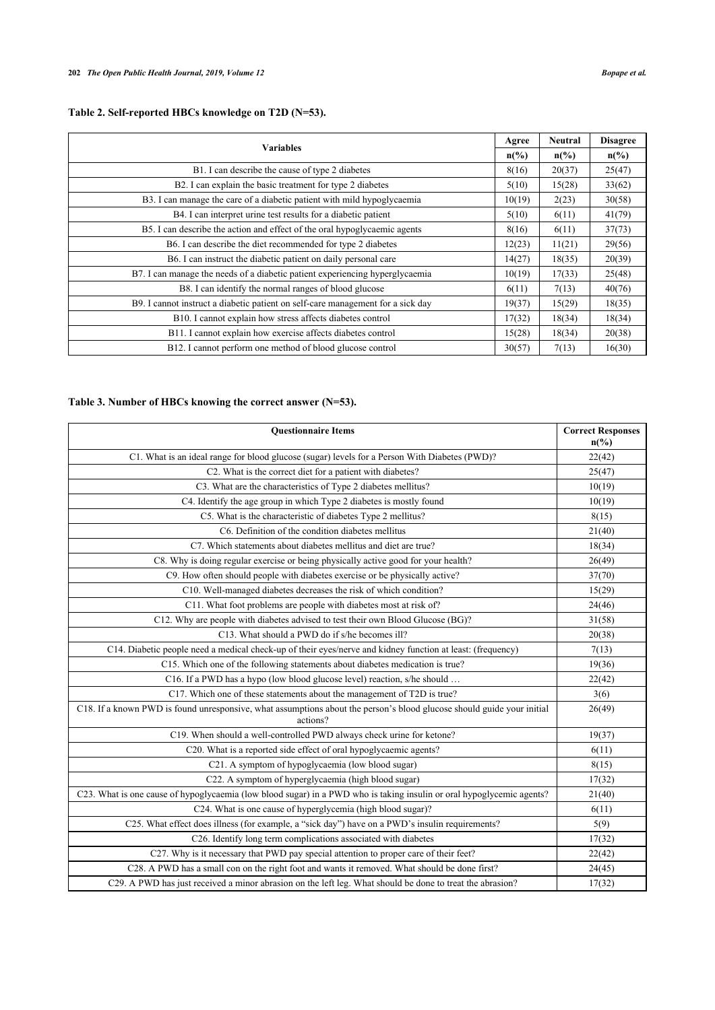<span id="page-3-0"></span>

| <b>Variables</b>                                                                |        | Neutral         | <b>Disagree</b>             |
|---------------------------------------------------------------------------------|--------|-----------------|-----------------------------|
|                                                                                 |        | $n\binom{0}{0}$ | $n\left(\frac{0}{0}\right)$ |
| B1. I can describe the cause of type 2 diabetes                                 | 8(16)  | 20(37)          | 25(47)                      |
| B2. I can explain the basic treatment for type 2 diabetes                       | 5(10)  | 15(28)          | 33(62)                      |
| B3. I can manage the care of a diabetic patient with mild hypoglycaemia         | 10(19) | 2(23)           | 30(58)                      |
| B4. I can interpret urine test results for a diabetic patient                   | 5(10)  | 6(11)           | 41(79)                      |
| B5. I can describe the action and effect of the oral hypoglycaemic agents       |        | 6(11)           | 37(73)                      |
| B6. I can describe the diet recommended for type 2 diabetes                     |        | 11(21)          | 29(56)                      |
| B6. I can instruct the diabetic patient on daily personal care                  |        | 18(35)          | 20(39)                      |
| B7. I can manage the needs of a diabetic patient experiencing hyperglycaemia    | 10(19) | 17(33)          | 25(48)                      |
| B8. I can identify the normal ranges of blood glucose                           | 6(11)  | 7(13)           | 40(76)                      |
| B9. I cannot instruct a diabetic patient on self-care management for a sick day |        | 15(29)          | 18(35)                      |
| B10. I cannot explain how stress affects diabetes control                       |        | 18(34)          | 18(34)                      |
| B11. I cannot explain how exercise affects diabetes control                     | 15(28) | 18(34)          | 20(38)                      |
| B12. I cannot perform one method of blood glucose control                       | 30(57) | 7(13)           | 16(30)                      |

# <span id="page-3-1"></span>**Table 3. Number of HBCs knowing the correct answer (N=53).**

| <b>Questionnaire Items</b>                                                                                                         | <b>Correct Responses</b><br>$n\left(\frac{0}{0}\right)$ |
|------------------------------------------------------------------------------------------------------------------------------------|---------------------------------------------------------|
| C1. What is an ideal range for blood glucose (sugar) levels for a Person With Diabetes (PWD)?                                      | 22(42)                                                  |
| C2. What is the correct diet for a patient with diabetes?                                                                          | 25(47)                                                  |
| C3. What are the characteristics of Type 2 diabetes mellitus?                                                                      | 10(19)                                                  |
| C4. Identify the age group in which Type 2 diabetes is mostly found                                                                | 10(19)                                                  |
| C5. What is the characteristic of diabetes Type 2 mellitus?                                                                        | 8(15)                                                   |
| C6. Definition of the condition diabetes mellitus                                                                                  | 21(40)                                                  |
| C7. Which statements about diabetes mellitus and diet are true?                                                                    | 18(34)                                                  |
| C8. Why is doing regular exercise or being physically active good for your health?                                                 | 26(49)                                                  |
| C9. How often should people with diabetes exercise or be physically active?                                                        | 37(70)                                                  |
| C10. Well-managed diabetes decreases the risk of which condition?                                                                  | 15(29)                                                  |
| C11. What foot problems are people with diabetes most at risk of?                                                                  | 24(46)                                                  |
| C12. Why are people with diabetes advised to test their own Blood Glucose (BG)?                                                    | 31(58)                                                  |
| C13. What should a PWD do if s/he becomes ill?                                                                                     | 20(38)                                                  |
| C14. Diabetic people need a medical check-up of their eyes/nerve and kidney function at least: (frequency)                         | 7(13)                                                   |
| C15. Which one of the following statements about diabetes medication is true?                                                      | 19(36)                                                  |
| C16. If a PWD has a hypo (low blood glucose level) reaction, s/he should                                                           | 22(42)                                                  |
| C17. Which one of these statements about the management of T2D is true?                                                            | 3(6)                                                    |
| C18. If a known PWD is found unresponsive, what assumptions about the person's blood glucose should guide your initial<br>actions? | 26(49)                                                  |
| C19. When should a well-controlled PWD always check urine for ketone?                                                              | 19(37)                                                  |
| C20. What is a reported side effect of oral hypoglycaemic agents?                                                                  | 6(11)                                                   |
| C21. A symptom of hypoglycaemia (low blood sugar)                                                                                  | 8(15)                                                   |
| C22. A symptom of hyperglycaemia (high blood sugar)                                                                                | 17(32)                                                  |
| C23. What is one cause of hypoglycaemia (low blood sugar) in a PWD who is taking insulin or oral hypoglycemic agents?              | 21(40)                                                  |
| C24. What is one cause of hyperglycemia (high blood sugar)?                                                                        | 6(11)                                                   |
| C25. What effect does illness (for example, a "sick day") have on a PWD's insulin requirements?                                    | 5(9)                                                    |
| C26. Identify long term complications associated with diabetes                                                                     | 17(32)                                                  |
| C27. Why is it necessary that PWD pay special attention to proper care of their feet?                                              | 22(42)                                                  |
| C28. A PWD has a small con on the right foot and wants it removed. What should be done first?                                      | 24(45)                                                  |
| C29. A PWD has just received a minor abrasion on the left leg. What should be done to treat the abrasion?                          | 17(32)                                                  |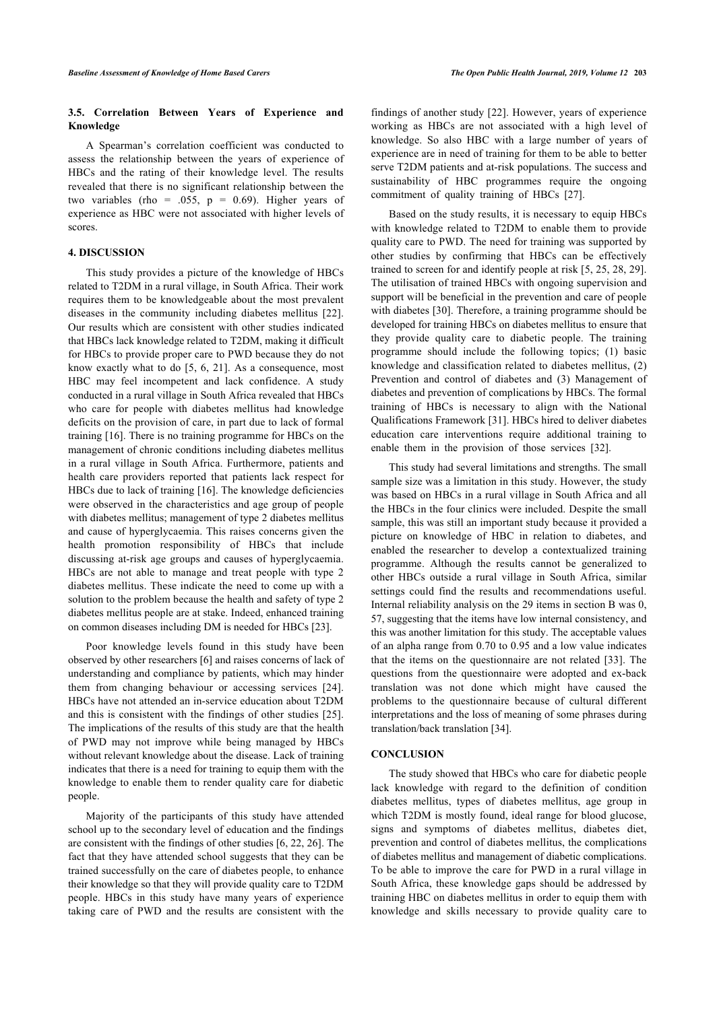# **3.5. Correlation Between Years of Experience and Knowledge**

A Spearman's correlation coefficient was conducted to assess the relationship between the years of experience of HBCs and the rating of their knowledge level. The results revealed that there is no significant relationship between the two variables (rho = .055,  $p = 0.69$ ). Higher years of experience as HBC were not associated with higher levels of scores.

# **4. DISCUSSION**

This study provides a picture of the knowledge of HBCs related to T2DM in a rural village, in South Africa. Their work requires them to be knowledgeable about the most prevalent diseases in the community including diabetes mellitus[[22\]](#page-6-4). Our results which are consistent with other studies indicated that HBCs lack knowledge related to T2DM, making it difficult for HBCs to provide proper care to PWD because they do not know exactly what to do [[5,](#page-5-4) [6,](#page-5-5) [21\]](#page-6-5). As a consequence, most HBC may feel incompetent and lack confidence. A study conducted in a rural village in South Africa revealed that HBCs who care for people with diabetes mellitus had knowledge deficits on the provision of care, in part due to lack of formal training [[16\]](#page-6-6). There is no training programme for HBCs on the management of chronic conditions including diabetes mellitus in a rural village in South Africa. Furthermore, patients and health care providers reported that patients lack respect for HBCs due to lack of training [\[16](#page-6-6)]. The knowledge deficiencies were observed in the characteristics and age group of people with diabetes mellitus; management of type 2 diabetes mellitus and cause of hyperglycaemia. This raises concerns given the health promotion responsibility of HBCs that include discussing at-risk age groups and causes of hyperglycaemia. HBCs are not able to manage and treat people with type 2 diabetes mellitus. These indicate the need to come up with a solution to the problem because the health and safety of type 2 diabetes mellitus people are at stake. Indeed, enhanced training on common diseases including DM is needed for HBCs [\[23](#page-6-7)].

Poor knowledge levels found in this study have been observed by other researchers [\[6\]](#page-5-5) and raises concerns of lack of understanding and compliance by patients, which may hinder them from changing behaviour or accessing services[[24\]](#page-6-8). HBCs have not attended an in-service education about T2DM and this is consistent with the findings of other studies [[25\]](#page-6-9). The implications of the results of this study are that the health of PWD may not improve while being managed by HBCs without relevant knowledge about the disease. Lack of training indicates that there is a need for training to equip them with the knowledge to enable them to render quality care for diabetic people.

Majority of the participants of this study have attended school up to the secondary level of education and the findings are consistent with the findings of other studies [\[6,](#page-5-5) [22](#page-6-4), [26\]](#page-6-10). The fact that they have attended school suggests that they can be trained successfully on the care of diabetes people, to enhance their knowledge so that they will provide quality care to T2DM people. HBCs in this study have many years of experience taking care of PWD and the results are consistent with the

findings of another study [\[22\]](#page-6-4). However, years of experience working as HBCs are not associated with a high level of knowledge. So also HBC with a large number of years of experience are in need of training for them to be able to better serve T2DM patients and at-risk populations. The success and sustainability of HBC programmes require the ongoing commitment of quality training of HBCs[[27\]](#page-6-11).

Based on the study results, it is necessary to equip HBCs with knowledge related to T2DM to enable them to provide quality care to PWD. The need for training was supported by other studies by confirming that HBCs can be effectively trained to screen for and identify people at risk [[5,](#page-5-4) [25,](#page-6-9) [28](#page-6-12), [29](#page-6-13)]. The utilisation of trained HBCs with ongoing supervision and support will be beneficial in the prevention and care of people with diabetes [\[30](#page-6-14)]. Therefore, a training programme should be developed for training HBCs on diabetes mellitus to ensure that they provide quality care to diabetic people. The training programme should include the following topics; (1) basic knowledge and classification related to diabetes mellitus, (2) Prevention and control of diabetes and (3) Management of diabetes and prevention of complications by HBCs. The formal training of HBCs is necessary to align with the National Qualifications Framework [[31\]](#page-6-15). HBCs hired to deliver diabetes education care interventions require additional training to enable them in the provision of those services[[32\]](#page-6-16).

This study had several limitations and strengths. The small sample size was a limitation in this study. However, the study was based on HBCs in a rural village in South Africa and all the HBCs in the four clinics were included. Despite the small sample, this was still an important study because it provided a picture on knowledge of HBC in relation to diabetes, and enabled the researcher to develop a contextualized training programme. Although the results cannot be generalized to other HBCs outside a rural village in South Africa, similar settings could find the results and recommendations useful. Internal reliability analysis on the 29 items in section B was 0, 57, suggesting that the items have low internal consistency, and this was another limitation for this study. The acceptable values of an alpha range from 0.70 to 0.95 and a low value indicates that the items on the questionnaire are not related [\[33\]](#page-6-17). The questions from the questionnaire were adopted and ex-back translation was not done which might have caused the problems to the questionnaire because of cultural different interpretations and the loss of meaning of some phrases during translation/back translation [[34\]](#page-6-6).

### **CONCLUSION**

The study showed that HBCs who care for diabetic people lack knowledge with regard to the definition of condition diabetes mellitus, types of diabetes mellitus, age group in which T2DM is mostly found, ideal range for blood glucose, signs and symptoms of diabetes mellitus, diabetes diet, prevention and control of diabetes mellitus, the complications of diabetes mellitus and management of diabetic complications. To be able to improve the care for PWD in a rural village in South Africa, these knowledge gaps should be addressed by training HBC on diabetes mellitus in order to equip them with knowledge and skills necessary to provide quality care to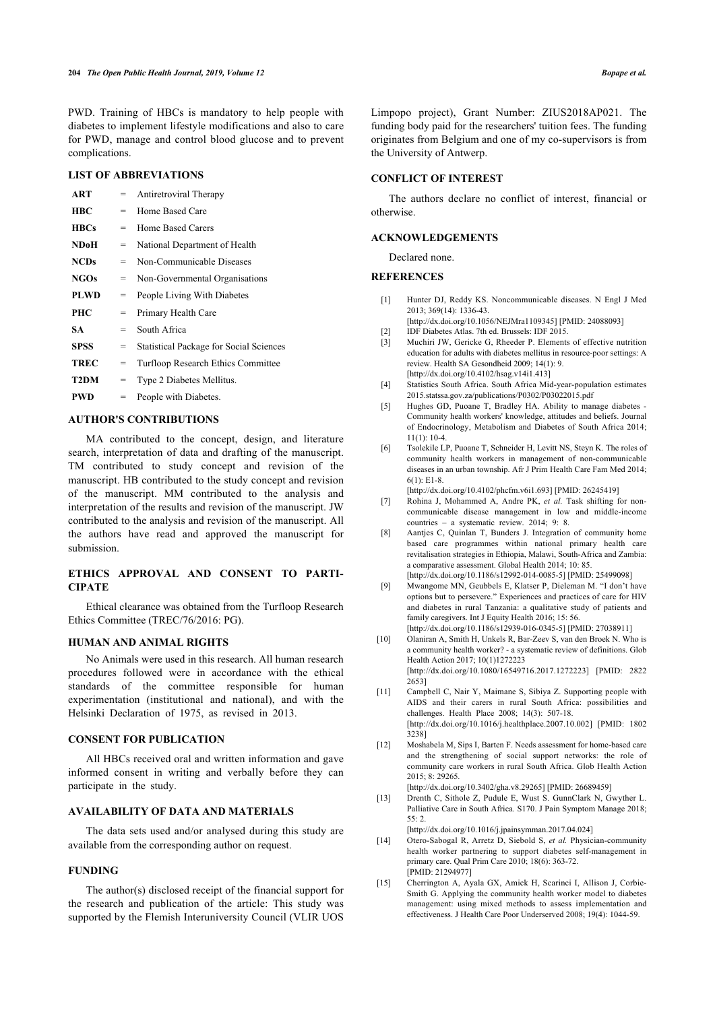PWD. Training of HBCs is mandatory to help people with diabetes to implement lifestyle modifications and also to care for PWD, manage and control blood glucose and to prevent complications.

# **LIST OF ABBREVIATIONS**

<span id="page-5-0"></span>

| <b>ART</b>  | $=$ | Antiretroviral Therapy                         |
|-------------|-----|------------------------------------------------|
| <b>HBC</b>  | $=$ | Home Based Care                                |
| <b>HBCs</b> | $=$ | Home Based Carers                              |
| <b>NDoH</b> | $=$ | National Department of Health                  |
| <b>NCDs</b> | $=$ | Non-Communicable Diseases                      |
| <b>NGOs</b> | =   | Non-Governmental Organisations                 |
| <b>PLWD</b> | $=$ | People Living With Diabetes                    |
| <b>PHC</b>  | =   | Primary Health Care                            |
| SА          | =   | South Africa                                   |
| SPSS        | =   | <b>Statistical Package for Social Sciences</b> |
| <b>TREC</b> | =   | <b>Turfloop Research Ethics Committee</b>      |
| T2DM        | $=$ | Type 2 Diabetes Mellitus.                      |
| PWD         | =   | People with Diabetes.                          |
|             |     |                                                |

# <span id="page-5-4"></span><span id="page-5-3"></span><span id="page-5-2"></span><span id="page-5-1"></span>**AUTHOR'S CONTRIBUTIONS**

<span id="page-5-6"></span><span id="page-5-5"></span>MA contributed to the concept, design, and literature search, interpretation of data and drafting of the manuscript. TM contributed to study concept and revision of the manuscript. HB contributed to the study concept and revision of the manuscript. MM contributed to the analysis and interpretation of the results and revision of the manuscript. JW contributed to the analysis and revision of the manuscript. All the authors have read and approved the manuscript for submission.

# <span id="page-5-8"></span><span id="page-5-7"></span>**ETHICS APPROVAL AND CONSENT TO PARTI-CIPATE**

Ethical clearance was obtained from the Turfloop Research Ethics Committee (TREC/76/2016: PG).

### <span id="page-5-9"></span>**HUMAN AND ANIMAL RIGHTS**

<span id="page-5-10"></span>No Animals were used in this research. All human research procedures followed were in accordance with the ethical standards of the committee responsible for human experimentation (institutional and national), and with the Helsinki Declaration of 1975, as revised in 2013.

### <span id="page-5-11"></span>**CONSENT FOR PUBLICATION**

All HBCs received oral and written information and gave informed consent in writing and verbally before they can participate in the study.

### <span id="page-5-12"></span>**AVAILABILITY OF DATA AND MATERIALS**

<span id="page-5-13"></span>The data sets used and/or analysed during this study are available from the corresponding author on request.

# <span id="page-5-14"></span>**FUNDING**

The author(s) disclosed receipt of the financial support for the research and publication of the article: This study was supported by the Flemish Interuniversity Council (VLIR UOS Limpopo project), Grant Number: ZIUS2018AP021. The funding body paid for the researchers' tuition fees. The funding originates from Belgium and one of my co-supervisors is from the University of Antwerp.

# **CONFLICT OF INTEREST**

The authors declare no conflict of interest, financial or otherwise.

# **ACKNOWLEDGEMENTS**

Declared none.

#### **REFERENCES**

- [1] Hunter DJ, Reddy KS. Noncommunicable diseases. N Engl J Med 2013; 369(14): 1336-43. [\[http://dx.doi.org/10.1056/NEJMra1109345\]](http://dx.doi.org/10.1056/NEJMra1109345) [PMID: [24088093](http://www.ncbi.nlm.nih.gov/pubmed/24088093)]
- [2] IDF Diabetes Atlas. 7th ed. Brussels: IDF 2015.
- [3] Muchiri JW, Gericke G, Rheeder P. Elements of effective nutrition education for adults with diabetes mellitus in resource-poor settings: A review. Health SA Gesondheid 2009; 14(1): 9. [\[http://dx.doi.org/10.4102/hsag.v14i1.413](http://dx.doi.org/10.4102/hsag.v14i1.413)]
- [4] Statistics South Africa. South Africa Mid-year-population estimates 2015.[statssa.gov.za/publications/P0302/P03022015.pdf](http://statssa.gov.za/publications/P0302/P03022015.pdf)
- [5] Hughes GD, Puoane T, Bradley HA. Ability to manage diabetes Community health workers' knowledge, attitudes and beliefs. Journal of Endocrinology, Metabolism and Diabetes of South Africa 2014; 11(1): 10-4.
- [6] Tsolekile LP, Puoane T, Schneider H, Levitt NS, Steyn K. The roles of community health workers in management of non-communicable diseases in an urban township. Afr J Prim Health Care Fam Med 2014; 6(1): E1-8.

[\[http://dx.doi.org/10.4102/phcfm.v6i1.693\]](http://dx.doi.org/10.4102/phcfm.v6i1.693) [PMID: [26245419](http://www.ncbi.nlm.nih.gov/pubmed/26245419)]

- [7] Rohina J, Mohammed A, Andre PK, et al. Task shifting for noncommunicable disease management in low and middle-income countries – a systematic review. 2014; 9: 8.
- [8] Aantjes C, Quinlan T, Bunders J. Integration of community home based care programmes within national primary health care revitalisation strategies in Ethiopia, Malawi, South-Africa and Zambia: a comparative assessment. Global Health 2014; 10: 85. [\[http://dx.doi.org/10.1186/s12992-014-0085-5\]](http://dx.doi.org/10.1186/s12992-014-0085-5) [PMID: [25499098](http://www.ncbi.nlm.nih.gov/pubmed/25499098)]
- [9] Mwangome MN, Geubbels E, Klatser P, Dieleman M. "I don't have options but to persevere." Experiences and practices of care for HIV and diabetes in rural Tanzania: a qualitative study of patients and family caregivers. Int J Equity Health 2016; 15: 56. [\[http://dx.doi.org/10.1186/s12939-016-0345-5\]](http://dx.doi.org/10.1186/s12939-016-0345-5) [PMID: [27038911](http://www.ncbi.nlm.nih.gov/pubmed/27038911)]
- [10] Olaniran A, Smith H, Unkels R, Bar-Zeev S, van den Broek N. Who is a community health worker? - a systematic review of definitions. Glob Health Action 2017; 10(1)1272223

[\[http://dx.doi.org/10.1080/16549716.2017.1272223](http://dx.doi.org/10.1080/16549716.2017.1272223)] [PMID: [2822](http://www.ncbi.nlm.nih.gov/pubmed/2822%202653) [2653\]](http://www.ncbi.nlm.nih.gov/pubmed/2822%202653)

- [11] Campbell C, Nair Y, Maimane S, Sibiya Z. Supporting people with AIDS and their carers in rural South Africa: possibilities and challenges. Health Place 2008; 14(3): 507-18. [\[http://dx.doi.org/10.1016/j.healthplace.2007.10.002\]](http://dx.doi.org/10.1016/j.healthplace.2007.10.002) [PMID: [1802](http://www.ncbi.nlm.nih.gov/pubmed/1802%203238) [3238\]](http://www.ncbi.nlm.nih.gov/pubmed/1802%203238)
- [12] Moshabela M, Sips I, Barten F. Needs assessment for home-based care and the strengthening of social support networks: the role of community care workers in rural South Africa. Glob Health Action 2015; 8: 29265.

[\[http://dx.doi.org/10.3402/gha.v8.29265\]](http://dx.doi.org/10.3402/gha.v8.29265) [PMID: [26689459](http://www.ncbi.nlm.nih.gov/pubmed/26689459)]

[13] Drenth C, Sithole Z, Pudule E, Wust S, GunnClark N, Gwyther L. Palliative Care in South Africa. S170. J Pain Symptom Manage 2018; 55: 2.

[\[http://dx.doi.org/10.1016/j.jpainsymman.2017.04.024\]](http://dx.doi.org/10.1016/j.jpainsymman.2017.04.024)

- [14] Otero-Sabogal R, Arretz D, Siebold S, *et al.* Physician-community health worker partnering to support diabetes self-management in primary care. Qual Prim Care 2010; 18(6): 363-72. [PMID: [21294977\]](http://www.ncbi.nlm.nih.gov/pubmed/21294977)
- [15] Cherrington A, Ayala GX, Amick H, Scarinci I, Allison J, Corbie-Smith G. Applying the community health worker model to diabetes management: using mixed methods to assess implementation and effectiveness. J Health Care Poor Underserved 2008; 19(4): 1044-59.